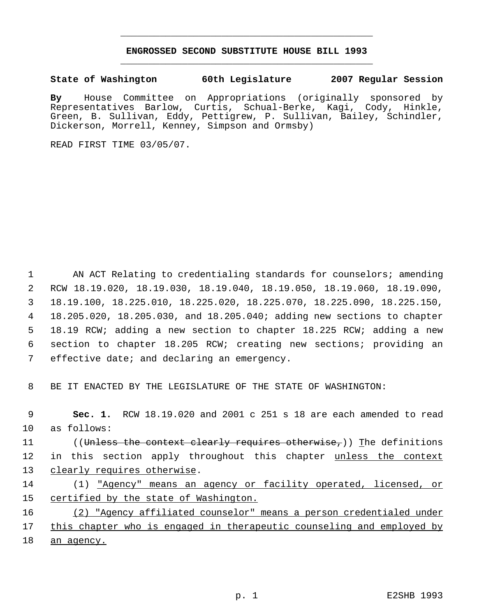## **ENGROSSED SECOND SUBSTITUTE HOUSE BILL 1993** \_\_\_\_\_\_\_\_\_\_\_\_\_\_\_\_\_\_\_\_\_\_\_\_\_\_\_\_\_\_\_\_\_\_\_\_\_\_\_\_\_\_\_\_\_

\_\_\_\_\_\_\_\_\_\_\_\_\_\_\_\_\_\_\_\_\_\_\_\_\_\_\_\_\_\_\_\_\_\_\_\_\_\_\_\_\_\_\_\_\_

**State of Washington 60th Legislature 2007 Regular Session**

**By** House Committee on Appropriations (originally sponsored by Representatives Barlow, Curtis, Schual-Berke, Kagi, Cody, Hinkle, Green, B. Sullivan, Eddy, Pettigrew, P. Sullivan, Bailey, Schindler, Dickerson, Morrell, Kenney, Simpson and Ormsby)

READ FIRST TIME 03/05/07.

1 AN ACT Relating to credentialing standards for counselors; amending RCW 18.19.020, 18.19.030, 18.19.040, 18.19.050, 18.19.060, 18.19.090, 18.19.100, 18.225.010, 18.225.020, 18.225.070, 18.225.090, 18.225.150, 18.205.020, 18.205.030, and 18.205.040; adding new sections to chapter 18.19 RCW; adding a new section to chapter 18.225 RCW; adding a new section to chapter 18.205 RCW; creating new sections; providing an effective date; and declaring an emergency.

8 BE IT ENACTED BY THE LEGISLATURE OF THE STATE OF WASHINGTON:

 9 **Sec. 1.** RCW 18.19.020 and 2001 c 251 s 18 are each amended to read 10 as follows: 11 ((Unless the context clearly requires otherwise,)) The definitions 12 in this section apply throughout this chapter unless the context

13 clearly requires otherwise.

14 (1) "Agency" means an agency or facility operated, licensed, or 15 certified by the state of Washington.

16 (2) "Agency affiliated counselor" means a person credentialed under 17 this chapter who is engaged in therapeutic counseling and employed by 18 an agency.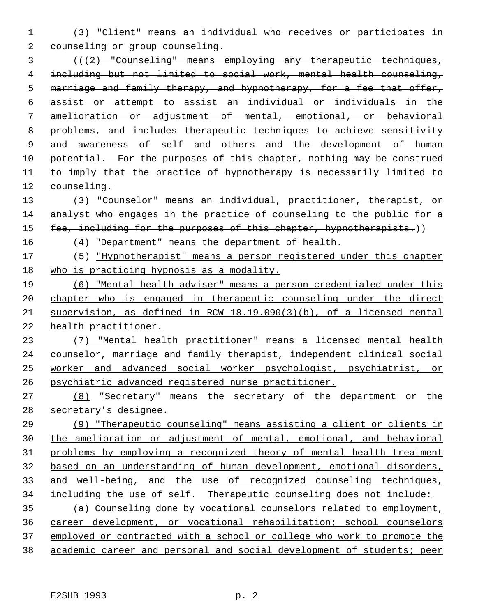(3) "Client" means an individual who receives or participates in counseling or group counseling.

 (((2) "Counseling" means employing any therapeutic techniques, including but not limited to social work, mental health counseling, marriage and family therapy, and hypnotherapy, for a fee that offer, assist or attempt to assist an individual or individuals in the amelioration or adjustment of mental, emotional, or behavioral problems, and includes therapeutic techniques to achieve sensitivity 9 and awareness of self and others and the development of human 10 potential. For the purposes of this chapter, nothing may be construed 11 to imply that the practice of hypnotherapy is necessarily limited to 12 counseling.

 (3) "Counselor" means an individual, practitioner, therapist, or 14 analyst who engages in the practice of counseling to the public for a 15 fee, including for the purposes of this chapter, hypnotherapists.))

(4) "Department" means the department of health.

 (5) "Hypnotherapist" means a person registered under this chapter who is practicing hypnosis as a modality.

 (6) "Mental health adviser" means a person credentialed under this chapter who is engaged in therapeutic counseling under the direct supervision, as defined in RCW 18.19.090(3)(b), of a licensed mental health practitioner.

 (7) "Mental health practitioner" means a licensed mental health counselor, marriage and family therapist, independent clinical social worker and advanced social worker psychologist, psychiatrist, or psychiatric advanced registered nurse practitioner.

 (8) "Secretary" means the secretary of the department or the secretary's designee.

 (9) "Therapeutic counseling" means assisting a client or clients in the amelioration or adjustment of mental, emotional, and behavioral problems by employing a recognized theory of mental health treatment based on an understanding of human development, emotional disorders, 33 and well-being, and the use of recognized counseling techniques, including the use of self. Therapeutic counseling does not include: (a) Counseling done by vocational counselors related to employment,

 career development, or vocational rehabilitation; school counselors employed or contracted with a school or college who work to promote the academic career and personal and social development of students; peer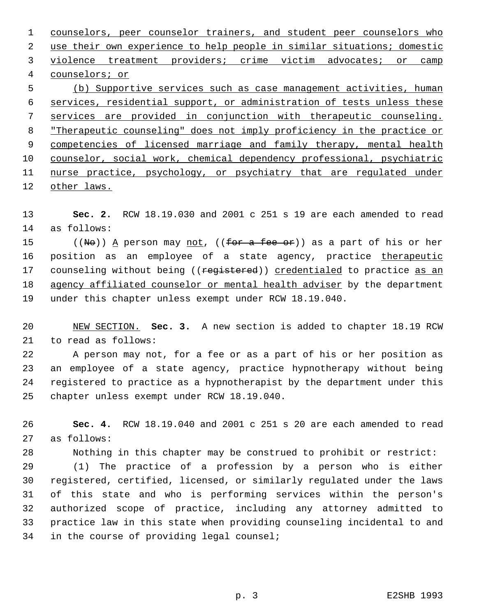counselors, peer counselor trainers, and student peer counselors who use their own experience to help people in similar situations; domestic 3 violence treatment providers; crime victim advocates; or camp counselors; or (b) Supportive services such as case management activities, human services, residential support, or administration of tests unless these services are provided in conjunction with therapeutic counseling. "Therapeutic counseling" does not imply proficiency in the practice or 9 competencies of licensed marriage and family therapy, mental health counselor, social work, chemical dependency professional, psychiatric

11 nurse practice, psychology, or psychiatry that are regulated under other laws.

 **Sec. 2.** RCW 18.19.030 and 2001 c 251 s 19 are each amended to read as follows:

15 ((No)) A person may <u>not</u>, ((for a fee or)) as a part of his or her 16 position as an employee of a state agency, practice therapeutic 17 counseling without being ((registered)) credentialed to practice as an agency affiliated counselor or mental health adviser by the department under this chapter unless exempt under RCW 18.19.040.

 NEW SECTION. **Sec. 3.** A new section is added to chapter 18.19 RCW to read as follows:

 A person may not, for a fee or as a part of his or her position as an employee of a state agency, practice hypnotherapy without being registered to practice as a hypnotherapist by the department under this chapter unless exempt under RCW 18.19.040.

 **Sec. 4.** RCW 18.19.040 and 2001 c 251 s 20 are each amended to read as follows:

Nothing in this chapter may be construed to prohibit or restrict:

 (1) The practice of a profession by a person who is either registered, certified, licensed, or similarly regulated under the laws of this state and who is performing services within the person's authorized scope of practice, including any attorney admitted to practice law in this state when providing counseling incidental to and in the course of providing legal counsel;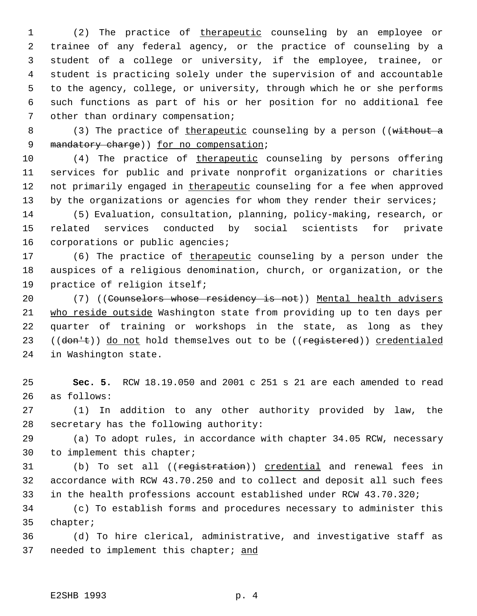1 (2) The practice of therapeutic counseling by an employee or trainee of any federal agency, or the practice of counseling by a student of a college or university, if the employee, trainee, or student is practicing solely under the supervision of and accountable to the agency, college, or university, through which he or she performs such functions as part of his or her position for no additional fee other than ordinary compensation;

8 (3) The practice of therapeutic counseling by a person ((without a 9 mandatory charge)) for no compensation;

 (4) The practice of therapeutic counseling by persons offering services for public and private nonprofit organizations or charities 12 not primarily engaged in therapeutic counseling for a fee when approved 13 by the organizations or agencies for whom they render their services;

 (5) Evaluation, consultation, planning, policy-making, research, or related services conducted by social scientists for private corporations or public agencies;

17 (6) The practice of therapeutic counseling by a person under the auspices of a religious denomination, church, or organization, or the practice of religion itself;

20 (7) ((Counselors whose residency is not)) Mental health advisers who reside outside Washington state from providing up to ten days per quarter of training or workshops in the state, as long as they 23 ((don't)) do not hold themselves out to be ((registered)) credentialed in Washington state.

 **Sec. 5.** RCW 18.19.050 and 2001 c 251 s 21 are each amended to read as follows:

 (1) In addition to any other authority provided by law, the secretary has the following authority:

 (a) To adopt rules, in accordance with chapter 34.05 RCW, necessary to implement this chapter;

31 (b) To set all ((registration)) credential and renewal fees in accordance with RCW 43.70.250 and to collect and deposit all such fees in the health professions account established under RCW 43.70.320;

 (c) To establish forms and procedures necessary to administer this chapter;

 (d) To hire clerical, administrative, and investigative staff as 37 needed to implement this chapter; and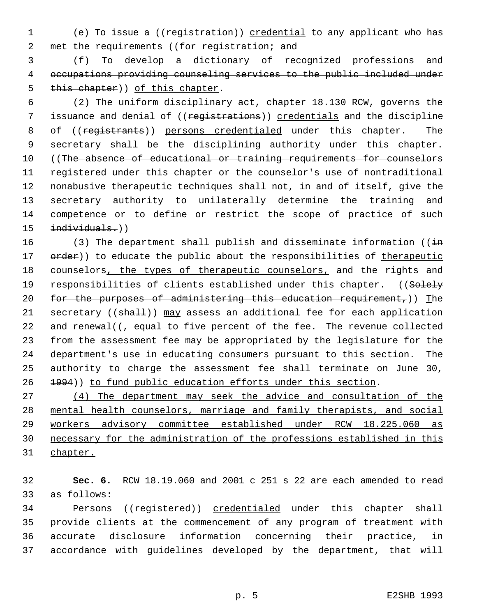1 (e) To issue a ((registration)) credential to any applicant who has 2 met the requirements ((for registration; and

 3 (f) To develop a dictionary of recognized professions and 4 occupations providing counseling services to the public included under 5 this chapter)) of this chapter.

 6 (2) The uniform disciplinary act, chapter 18.130 RCW, governs the 7 issuance and denial of ((registrations)) credentials and the discipline 8 of ((registrants)) persons credentialed under this chapter. The 9 secretary shall be the disciplining authority under this chapter. 10 ((The absence of educational or training requirements for counselors 11 registered under this chapter or the counselor's use of nontraditional 12 nonabusive therapeutic techniques shall not, in and of itself, give the 13 secretary authority to unilaterally determine the training and 14 competence or to define or restrict the scope of practice of such 15 individuals.))

16 (3) The department shall publish and disseminate information ( $(i+n)$ 17 order)) to educate the public about the responsibilities of therapeutic 18 counselors, the types of therapeutic counselors, and the rights and 19 responsibilities of clients established under this chapter. ((Solely 20 for the purposes of administering this education requirement,)) The 21 secretary ((shall)) may assess an additional fee for each application 22 and renewal( $\left(\frac{1}{f}\right)$  equal to five percent of the fee. The revenue collected 23 from the assessment fee may be appropriated by the legislature for the 24 department's use in educating consumers pursuant to this section. The 25 authority to charge the assessment fee shall terminate on June 30, 26 1994)) to fund public education efforts under this section.

 (4) The department may seek the advice and consultation of the mental health counselors, marriage and family therapists, and social workers advisory committee established under RCW 18.225.060 as necessary for the administration of the professions established in this 31 chapter.

32 **Sec. 6.** RCW 18.19.060 and 2001 c 251 s 22 are each amended to read 33 as follows:

34 Persons ((registered)) credentialed under this chapter shall provide clients at the commencement of any program of treatment with accurate disclosure information concerning their practice, in accordance with guidelines developed by the department, that will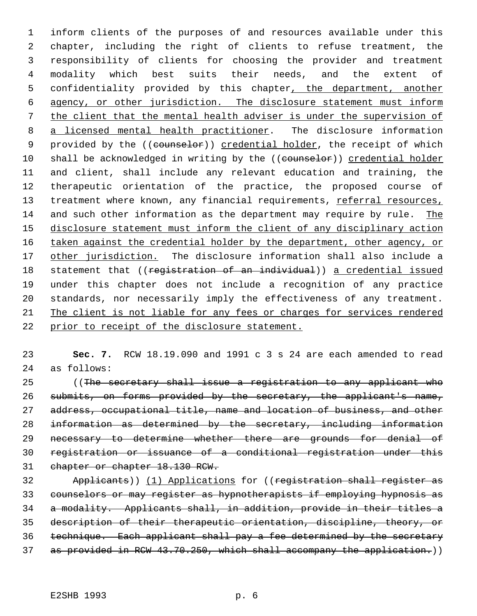inform clients of the purposes of and resources available under this chapter, including the right of clients to refuse treatment, the responsibility of clients for choosing the provider and treatment modality which best suits their needs, and the extent of confidentiality provided by this chapter, the department, another agency, or other jurisdiction. The disclosure statement must inform the client that the mental health adviser is under the supervision of 8 a licensed mental health practitioner. The disclosure information 9 provided by the ((counselor)) credential holder, the receipt of which 10 shall be acknowledged in writing by the ((counselor)) credential holder and client, shall include any relevant education and training, the therapeutic orientation of the practice, the proposed course of 13 treatment where known, any financial requirements, referral resources, and such other information as the department may require by rule. The disclosure statement must inform the client of any disciplinary action 16 taken against the credential holder by the department, other agency, or 17 other jurisdiction. The disclosure information shall also include a 18 statement that ((registration of an individual)) a credential issued under this chapter does not include a recognition of any practice standards, nor necessarily imply the effectiveness of any treatment. The client is not liable for any fees or charges for services rendered prior to receipt of the disclosure statement.

 **Sec. 7.** RCW 18.19.090 and 1991 c 3 s 24 are each amended to read as follows:

 ((The secretary shall issue a registration to any applicant who 26 submits, on forms provided by the secretary, the applicant's name, 27 address, occupational title, name and location of business, and other information as determined by the secretary, including information 29 necessary to determine whether there are grounds for denial of registration or issuance of a conditional registration under this chapter or chapter 18.130 RCW.

 Applicants)) (1) Applications for ((registration shall register as counselors or may register as hypnotherapists if employing hypnosis as a modality. Applicants shall, in addition, provide in their titles a description of their therapeutic orientation, discipline, theory, or technique. Each applicant shall pay a fee determined by the secretary 37 as provided in RCW 43.70.250, which shall accompany the application.))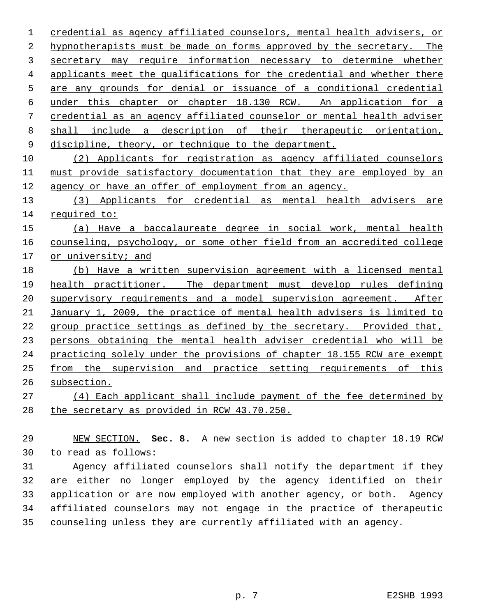credential as agency affiliated counselors, mental health advisers, or hypnotherapists must be made on forms approved by the secretary. The secretary may require information necessary to determine whether applicants meet the qualifications for the credential and whether there are any grounds for denial or issuance of a conditional credential under this chapter or chapter 18.130 RCW. An application for a credential as an agency affiliated counselor or mental health adviser shall include a description of their therapeutic orientation, 9 discipline, theory, or technique to the department.

 (2) Applicants for registration as agency affiliated counselors must provide satisfactory documentation that they are employed by an agency or have an offer of employment from an agency.

 (3) Applicants for credential as mental health advisers are required to:

 (a) Have a baccalaureate degree in social work, mental health counseling, psychology, or some other field from an accredited college or university; and

 (b) Have a written supervision agreement with a licensed mental health practitioner. The department must develop rules defining 20 supervisory requirements and a model supervision agreement. After January 1, 2009, the practice of mental health advisers is limited to group practice settings as defined by the secretary. Provided that, persons obtaining the mental health adviser credential who will be practicing solely under the provisions of chapter 18.155 RCW are exempt from the supervision and practice setting requirements of this subsection.

 (4) Each applicant shall include payment of the fee determined by the secretary as provided in RCW 43.70.250.

 NEW SECTION. **Sec. 8.** A new section is added to chapter 18.19 RCW to read as follows:

 Agency affiliated counselors shall notify the department if they are either no longer employed by the agency identified on their application or are now employed with another agency, or both. Agency affiliated counselors may not engage in the practice of therapeutic counseling unless they are currently affiliated with an agency.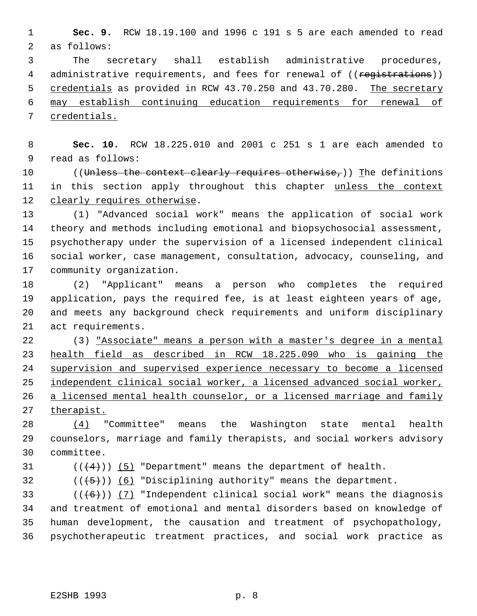**Sec. 9.** RCW 18.19.100 and 1996 c 191 s 5 are each amended to read as follows:

 The secretary shall establish administrative procedures, 4 administrative requirements, and fees for renewal of ((registrations)) 5 credentials as provided in RCW 43.70.250 and 43.70.280. The secretary may establish continuing education requirements for renewal of credentials.

 **Sec. 10.** RCW 18.225.010 and 2001 c 251 s 1 are each amended to read as follows:

10 ((Unless the context clearly requires otherwise,)) The definitions 11 in this section apply throughout this chapter unless the context 12 clearly requires otherwise.

 (1) "Advanced social work" means the application of social work theory and methods including emotional and biopsychosocial assessment, psychotherapy under the supervision of a licensed independent clinical social worker, case management, consultation, advocacy, counseling, and community organization.

 (2) "Applicant" means a person who completes the required application, pays the required fee, is at least eighteen years of age, and meets any background check requirements and uniform disciplinary act requirements.

 (3) "Associate" means a person with a master's degree in a mental health field as described in RCW 18.225.090 who is gaining the supervision and supervised experience necessary to become a licensed independent clinical social worker, a licensed advanced social worker, 26 a licensed mental health counselor, or a licensed marriage and family 27 therapist.

 (4) "Committee" means the Washington state mental health counselors, marriage and family therapists, and social workers advisory committee.

31  $((4+))$  (5) "Department" means the department of health.

32  $((\overline{5}))$  (6) "Disciplining authority" means the department.

33 ( $(\overline{6})$ ) (7) "Independent clinical social work" means the diagnosis and treatment of emotional and mental disorders based on knowledge of human development, the causation and treatment of psychopathology, psychotherapeutic treatment practices, and social work practice as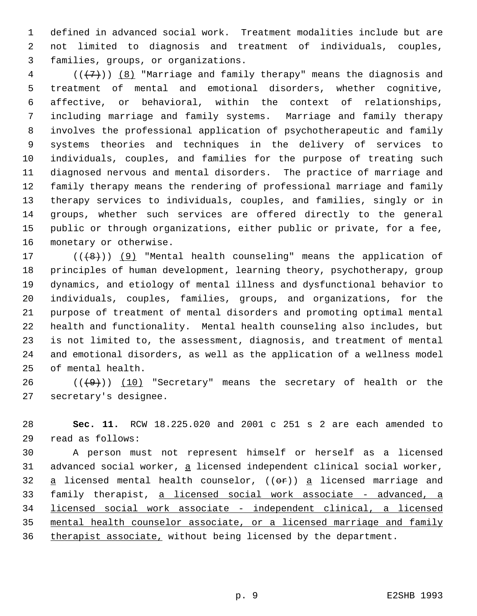defined in advanced social work. Treatment modalities include but are not limited to diagnosis and treatment of individuals, couples, families, groups, or organizations.

 (( $\{7\}$ ))  $\{8\}$  "Marriage and family therapy" means the diagnosis and treatment of mental and emotional disorders, whether cognitive, affective, or behavioral, within the context of relationships, including marriage and family systems. Marriage and family therapy involves the professional application of psychotherapeutic and family systems theories and techniques in the delivery of services to individuals, couples, and families for the purpose of treating such diagnosed nervous and mental disorders. The practice of marriage and family therapy means the rendering of professional marriage and family therapy services to individuals, couples, and families, singly or in groups, whether such services are offered directly to the general public or through organizations, either public or private, for a fee, monetary or otherwise.

 $((+8))$  (9) "Mental health counseling" means the application of principles of human development, learning theory, psychotherapy, group dynamics, and etiology of mental illness and dysfunctional behavior to individuals, couples, families, groups, and organizations, for the purpose of treatment of mental disorders and promoting optimal mental health and functionality. Mental health counseling also includes, but is not limited to, the assessment, diagnosis, and treatment of mental and emotional disorders, as well as the application of a wellness model of mental health.

 $((+9))$   $(10)$  "Secretary" means the secretary of health or the secretary's designee.

 **Sec. 11.** RCW 18.225.020 and 2001 c 251 s 2 are each amended to read as follows:

 A person must not represent himself or herself as a licensed 31 advanced social worker, a licensed independent clinical social worker, 32  $a$  licensed mental health counselor, (( $e^{2}$ ))  $a$  licensed marriage and 33 family therapist, a licensed social work associate - advanced, a 34 licensed social work associate - independent clinical, a licensed mental health counselor associate, or a licensed marriage and family 36 therapist associate, without being licensed by the department.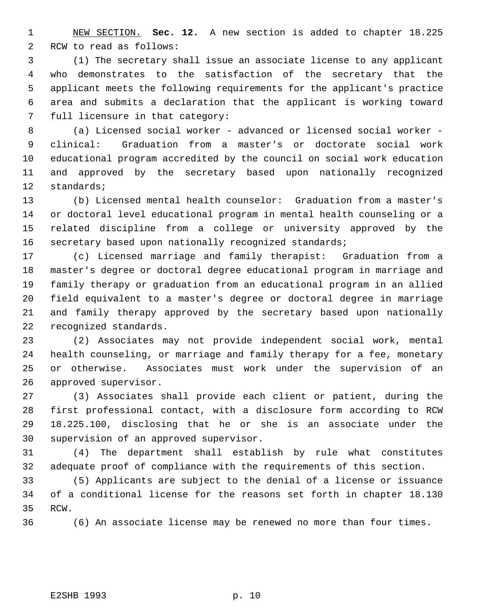NEW SECTION. **Sec. 12.** A new section is added to chapter 18.225 RCW to read as follows:

 (1) The secretary shall issue an associate license to any applicant who demonstrates to the satisfaction of the secretary that the applicant meets the following requirements for the applicant's practice area and submits a declaration that the applicant is working toward full licensure in that category:

 (a) Licensed social worker - advanced or licensed social worker - clinical: Graduation from a master's or doctorate social work educational program accredited by the council on social work education and approved by the secretary based upon nationally recognized standards;

 (b) Licensed mental health counselor: Graduation from a master's or doctoral level educational program in mental health counseling or a related discipline from a college or university approved by the 16 secretary based upon nationally recognized standards;

 (c) Licensed marriage and family therapist: Graduation from a master's degree or doctoral degree educational program in marriage and family therapy or graduation from an educational program in an allied field equivalent to a master's degree or doctoral degree in marriage and family therapy approved by the secretary based upon nationally recognized standards.

 (2) Associates may not provide independent social work, mental health counseling, or marriage and family therapy for a fee, monetary or otherwise. Associates must work under the supervision of an approved supervisor.

 (3) Associates shall provide each client or patient, during the first professional contact, with a disclosure form according to RCW 18.225.100, disclosing that he or she is an associate under the supervision of an approved supervisor.

 (4) The department shall establish by rule what constitutes adequate proof of compliance with the requirements of this section.

 (5) Applicants are subject to the denial of a license or issuance of a conditional license for the reasons set forth in chapter 18.130 RCW.

(6) An associate license may be renewed no more than four times.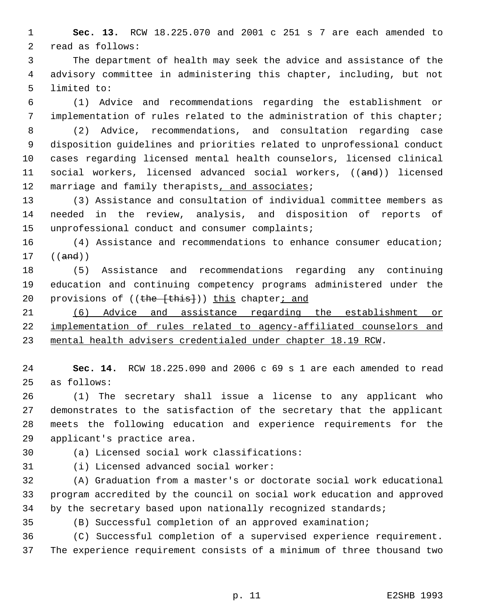**Sec. 13.** RCW 18.225.070 and 2001 c 251 s 7 are each amended to read as follows:

 The department of health may seek the advice and assistance of the advisory committee in administering this chapter, including, but not limited to:

 (1) Advice and recommendations regarding the establishment or implementation of rules related to the administration of this chapter;

 (2) Advice, recommendations, and consultation regarding case disposition guidelines and priorities related to unprofessional conduct cases regarding licensed mental health counselors, licensed clinical social workers, licensed advanced social workers, ((and)) licensed 12 marriage and family therapists, and associates;

 (3) Assistance and consultation of individual committee members as needed in the review, analysis, and disposition of reports of unprofessional conduct and consumer complaints;

 (4) Assistance and recommendations to enhance consumer education; ((and))

 (5) Assistance and recommendations regarding any continuing education and continuing competency programs administered under the 20 provisions of ((the [this])) this chapter; and

 (6) Advice and assistance regarding the establishment or implementation of rules related to agency-affiliated counselors and mental health advisers credentialed under chapter 18.19 RCW.

 **Sec. 14.** RCW 18.225.090 and 2006 c 69 s 1 are each amended to read as follows:

 (1) The secretary shall issue a license to any applicant who demonstrates to the satisfaction of the secretary that the applicant meets the following education and experience requirements for the applicant's practice area.

(a) Licensed social work classifications:

(i) Licensed advanced social worker:

 (A) Graduation from a master's or doctorate social work educational program accredited by the council on social work education and approved 34 by the secretary based upon nationally recognized standards;

(B) Successful completion of an approved examination;

 (C) Successful completion of a supervised experience requirement. The experience requirement consists of a minimum of three thousand two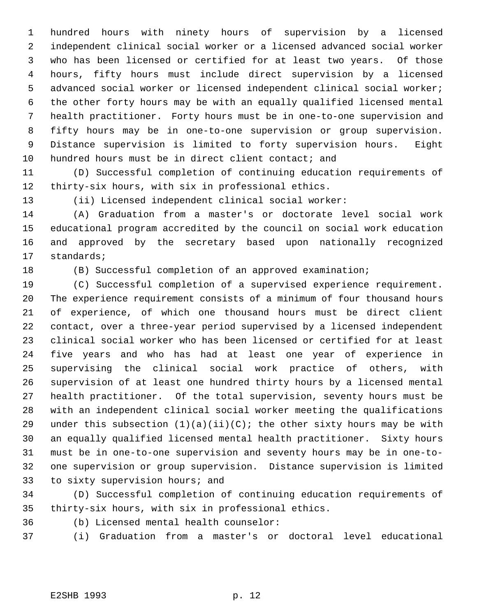hundred hours with ninety hours of supervision by a licensed independent clinical social worker or a licensed advanced social worker who has been licensed or certified for at least two years. Of those hours, fifty hours must include direct supervision by a licensed advanced social worker or licensed independent clinical social worker; the other forty hours may be with an equally qualified licensed mental health practitioner. Forty hours must be in one-to-one supervision and fifty hours may be in one-to-one supervision or group supervision. Distance supervision is limited to forty supervision hours. Eight 10 hundred hours must be in direct client contact; and

 (D) Successful completion of continuing education requirements of thirty-six hours, with six in professional ethics.

(ii) Licensed independent clinical social worker:

 (A) Graduation from a master's or doctorate level social work educational program accredited by the council on social work education and approved by the secretary based upon nationally recognized standards;

(B) Successful completion of an approved examination;

 (C) Successful completion of a supervised experience requirement. The experience requirement consists of a minimum of four thousand hours of experience, of which one thousand hours must be direct client contact, over a three-year period supervised by a licensed independent clinical social worker who has been licensed or certified for at least five years and who has had at least one year of experience in supervising the clinical social work practice of others, with supervision of at least one hundred thirty hours by a licensed mental health practitioner. Of the total supervision, seventy hours must be with an independent clinical social worker meeting the qualifications 29 under this subsection  $(1)(a)(ii)(C)$ ; the other sixty hours may be with an equally qualified licensed mental health practitioner. Sixty hours must be in one-to-one supervision and seventy hours may be in one-to- one supervision or group supervision. Distance supervision is limited to sixty supervision hours; and

 (D) Successful completion of continuing education requirements of thirty-six hours, with six in professional ethics.

 (b) Licensed mental health counselor: (i) Graduation from a master's or doctoral level educational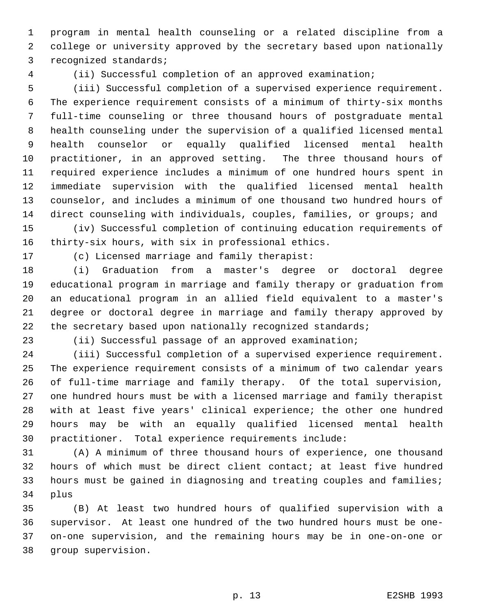program in mental health counseling or a related discipline from a college or university approved by the secretary based upon nationally recognized standards;

(ii) Successful completion of an approved examination;

 (iii) Successful completion of a supervised experience requirement. The experience requirement consists of a minimum of thirty-six months full-time counseling or three thousand hours of postgraduate mental health counseling under the supervision of a qualified licensed mental health counselor or equally qualified licensed mental health practitioner, in an approved setting. The three thousand hours of required experience includes a minimum of one hundred hours spent in immediate supervision with the qualified licensed mental health counselor, and includes a minimum of one thousand two hundred hours of direct counseling with individuals, couples, families, or groups; and

 (iv) Successful completion of continuing education requirements of thirty-six hours, with six in professional ethics.

(c) Licensed marriage and family therapist:

 (i) Graduation from a master's degree or doctoral degree educational program in marriage and family therapy or graduation from an educational program in an allied field equivalent to a master's degree or doctoral degree in marriage and family therapy approved by 22 the secretary based upon nationally recognized standards;

(ii) Successful passage of an approved examination;

 (iii) Successful completion of a supervised experience requirement. The experience requirement consists of a minimum of two calendar years of full-time marriage and family therapy. Of the total supervision, one hundred hours must be with a licensed marriage and family therapist with at least five years' clinical experience; the other one hundred hours may be with an equally qualified licensed mental health practitioner. Total experience requirements include:

 (A) A minimum of three thousand hours of experience, one thousand hours of which must be direct client contact; at least five hundred hours must be gained in diagnosing and treating couples and families; plus

 (B) At least two hundred hours of qualified supervision with a supervisor. At least one hundred of the two hundred hours must be one- on-one supervision, and the remaining hours may be in one-on-one or group supervision.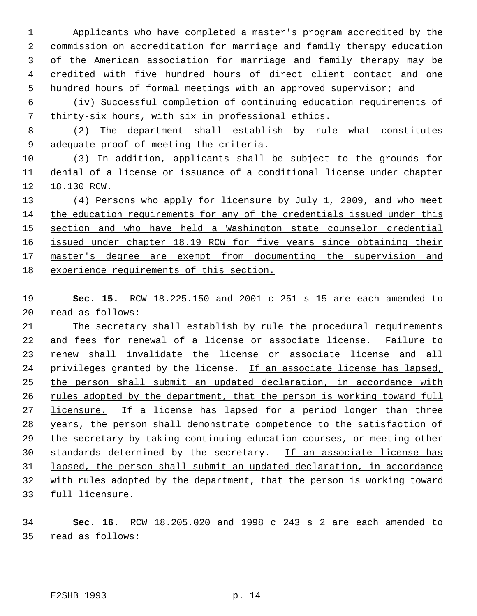Applicants who have completed a master's program accredited by the commission on accreditation for marriage and family therapy education of the American association for marriage and family therapy may be credited with five hundred hours of direct client contact and one hundred hours of formal meetings with an approved supervisor; and

 (iv) Successful completion of continuing education requirements of thirty-six hours, with six in professional ethics.

 (2) The department shall establish by rule what constitutes adequate proof of meeting the criteria.

 (3) In addition, applicants shall be subject to the grounds for denial of a license or issuance of a conditional license under chapter 18.130 RCW.

13 (4) Persons who apply for licensure by July 1, 2009, and who meet the education requirements for any of the credentials issued under this section and who have held a Washington state counselor credential 16 issued under chapter 18.19 RCW for five years since obtaining their 17 master's degree are exempt from documenting the supervision and experience requirements of this section.

 **Sec. 15.** RCW 18.225.150 and 2001 c 251 s 15 are each amended to read as follows:

 The secretary shall establish by rule the procedural requirements 22 and fees for renewal of a license or associate license. Failure to 23 renew shall invalidate the license or associate license and all 24 privileges granted by the license. If an associate license has lapsed, 25 the person shall submit an updated declaration, in accordance with 26 rules adopted by the department, that the person is working toward full 27 licensure. If a license has lapsed for a period longer than three years, the person shall demonstrate competence to the satisfaction of the secretary by taking continuing education courses, or meeting other 30 standards determined by the secretary. If an associate license has lapsed, the person shall submit an updated declaration, in accordance with rules adopted by the department, that the person is working toward 33 full licensure.

 **Sec. 16.** RCW 18.205.020 and 1998 c 243 s 2 are each amended to read as follows: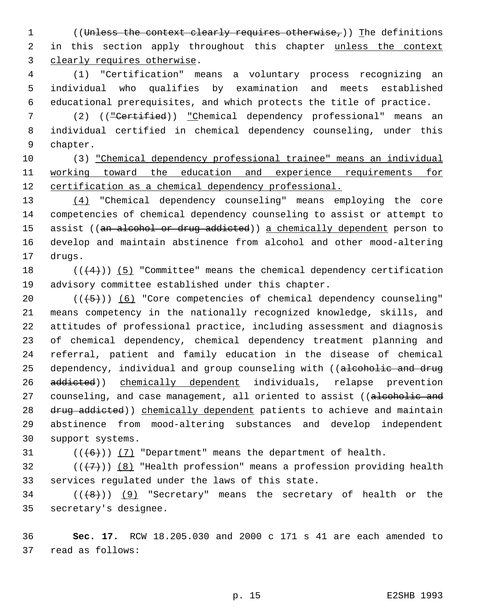1 ((Unless the context clearly requires otherwise,)) The definitions 2 in this section apply throughout this chapter unless the context clearly requires otherwise.

 (1) "Certification" means a voluntary process recognizing an individual who qualifies by examination and meets established educational prerequisites, and which protects the title of practice.

 (2) (("Certified)) "Chemical dependency professional" means an individual certified in chemical dependency counseling, under this chapter.

 (3) "Chemical dependency professional trainee" means an individual 11 working toward the education and experience requirements for 12 certification as a chemical dependency professional.

 (4) "Chemical dependency counseling" means employing the core competencies of chemical dependency counseling to assist or attempt to 15 assist ((an alcohol or drug addicted)) a chemically dependent person to develop and maintain abstinence from alcohol and other mood-altering drugs.

18  $((+4))$  (5) "Committee" means the chemical dependency certification advisory committee established under this chapter.

 $((+5))$   $(6)$  "Core competencies of chemical dependency counseling" means competency in the nationally recognized knowledge, skills, and attitudes of professional practice, including assessment and diagnosis of chemical dependency, chemical dependency treatment planning and referral, patient and family education in the disease of chemical 25 dependency, individual and group counseling with ((alcoholic and drug 26 addicted)) chemically dependent individuals, relapse prevention 27 counseling, and case management, all oriented to assist ((alcoholic and 28 drug addicted)) chemically dependent patients to achieve and maintain abstinence from mood-altering substances and develop independent support systems.

31  $((\langle 6 \rangle)(7)$  "Department" means the department of health.

32 ( $(\overline{\{7\}})$ ) (8) "Health profession" means a profession providing health services regulated under the laws of this state.

34 ( $(\langle 8 \rangle)$ ) (9) "Secretary" means the secretary of health or the secretary's designee.

 **Sec. 17.** RCW 18.205.030 and 2000 c 171 s 41 are each amended to read as follows: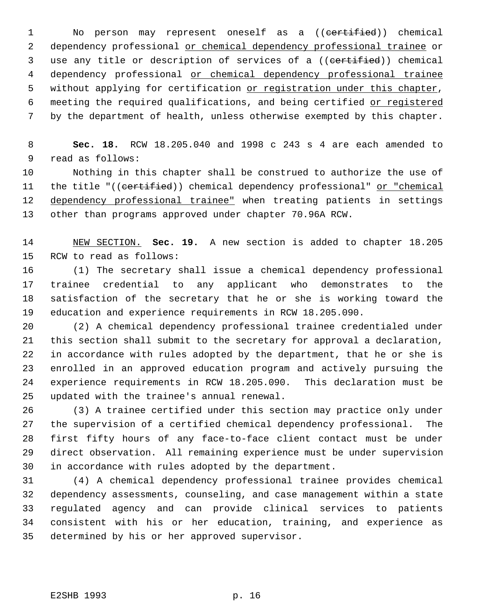1 No person may represent oneself as a ((certified)) chemical 2 dependency professional or chemical dependency professional trainee or 3 use any title or description of services of a ((certified)) chemical 4 dependency professional or chemical dependency professional trainee 5 without applying for certification or registration under this chapter, 6 meeting the required qualifications, and being certified or registered by the department of health, unless otherwise exempted by this chapter.

 **Sec. 18.** RCW 18.205.040 and 1998 c 243 s 4 are each amended to read as follows:

 Nothing in this chapter shall be construed to authorize the use of 11 the title "((certified)) chemical dependency professional" or "chemical 12 dependency professional trainee" when treating patients in settings other than programs approved under chapter 70.96A RCW.

 NEW SECTION. **Sec. 19.** A new section is added to chapter 18.205 RCW to read as follows:

 (1) The secretary shall issue a chemical dependency professional trainee credential to any applicant who demonstrates to the satisfaction of the secretary that he or she is working toward the education and experience requirements in RCW 18.205.090.

 (2) A chemical dependency professional trainee credentialed under this section shall submit to the secretary for approval a declaration, in accordance with rules adopted by the department, that he or she is enrolled in an approved education program and actively pursuing the experience requirements in RCW 18.205.090. This declaration must be updated with the trainee's annual renewal.

 (3) A trainee certified under this section may practice only under the supervision of a certified chemical dependency professional. The first fifty hours of any face-to-face client contact must be under direct observation. All remaining experience must be under supervision in accordance with rules adopted by the department.

 (4) A chemical dependency professional trainee provides chemical dependency assessments, counseling, and case management within a state regulated agency and can provide clinical services to patients consistent with his or her education, training, and experience as determined by his or her approved supervisor.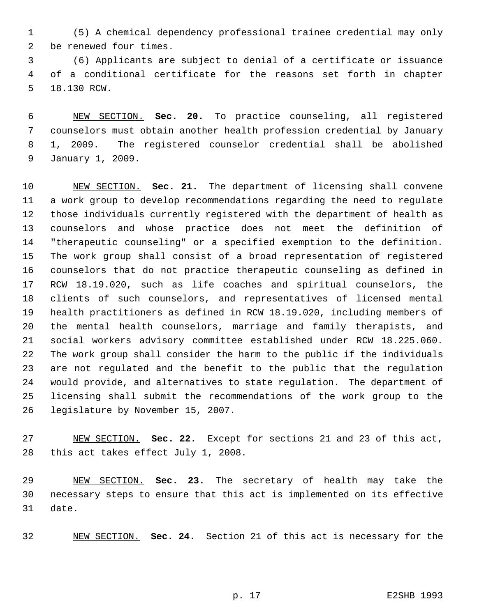(5) A chemical dependency professional trainee credential may only be renewed four times.

 (6) Applicants are subject to denial of a certificate or issuance of a conditional certificate for the reasons set forth in chapter 18.130 RCW.

 NEW SECTION. **Sec. 20.** To practice counseling, all registered counselors must obtain another health profession credential by January 1, 2009. The registered counselor credential shall be abolished January 1, 2009.

 NEW SECTION. **Sec. 21.** The department of licensing shall convene a work group to develop recommendations regarding the need to regulate those individuals currently registered with the department of health as counselors and whose practice does not meet the definition of "therapeutic counseling" or a specified exemption to the definition. The work group shall consist of a broad representation of registered counselors that do not practice therapeutic counseling as defined in RCW 18.19.020, such as life coaches and spiritual counselors, the clients of such counselors, and representatives of licensed mental health practitioners as defined in RCW 18.19.020, including members of the mental health counselors, marriage and family therapists, and social workers advisory committee established under RCW 18.225.060. The work group shall consider the harm to the public if the individuals are not regulated and the benefit to the public that the regulation would provide, and alternatives to state regulation. The department of licensing shall submit the recommendations of the work group to the legislature by November 15, 2007.

 NEW SECTION. **Sec. 22.** Except for sections 21 and 23 of this act, this act takes effect July 1, 2008.

 NEW SECTION. **Sec. 23.** The secretary of health may take the necessary steps to ensure that this act is implemented on its effective date.

NEW SECTION. **Sec. 24.** Section 21 of this act is necessary for the